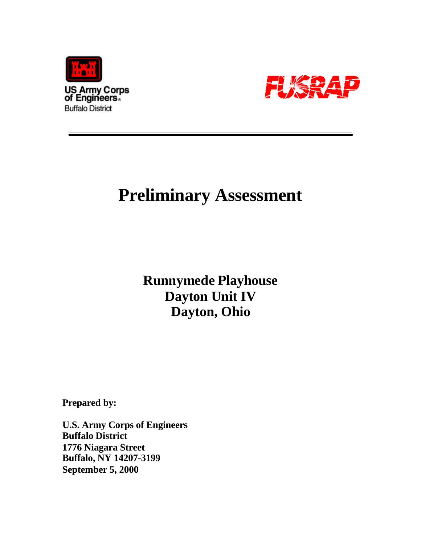



# **Preliminary Assessment**

**Runnymede Playhouse Dayton Unit IV Dayton, Ohio**

**Prepared by:**

**U.S. Army Corps of Engineers Buffalo District 1776 Niagara Street Buffalo, NY 14207-3199 September 5, 2000**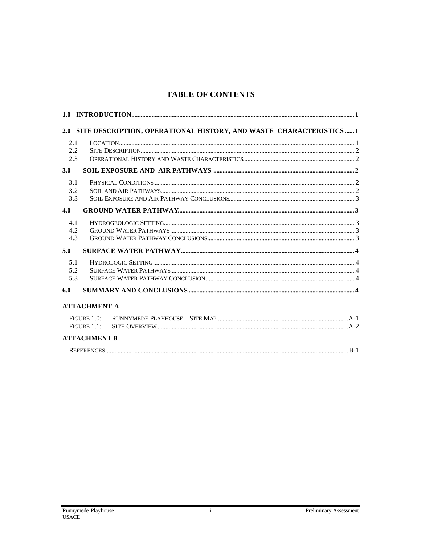# **TABLE OF CONTENTS**

|                |                     | 2.0 SITE DESCRIPTION, OPERATIONAL HISTORY, AND WASTE CHARACTERISTICS  1 |  |
|----------------|---------------------|-------------------------------------------------------------------------|--|
| 2.1            |                     |                                                                         |  |
| 2.2            |                     |                                                                         |  |
| 2.3            |                     |                                                                         |  |
| 3.0            |                     |                                                                         |  |
| 3.1            |                     |                                                                         |  |
| 3.2            |                     |                                                                         |  |
| 3.3            |                     |                                                                         |  |
| 4.0            |                     |                                                                         |  |
| 4.1            |                     |                                                                         |  |
| 4.2            |                     |                                                                         |  |
| 4.3            |                     |                                                                         |  |
| 5.0            |                     |                                                                         |  |
| 5.1            |                     |                                                                         |  |
| 5.2            |                     |                                                                         |  |
| 5.3            |                     |                                                                         |  |
| 6.0            |                     |                                                                         |  |
|                | <b>ATTACHMENT A</b> |                                                                         |  |
| FIGURE $1.0$ : |                     |                                                                         |  |
| FIGURE 1.1:    |                     |                                                                         |  |
|                | <b>ATTACHMENT B</b> |                                                                         |  |
|                |                     |                                                                         |  |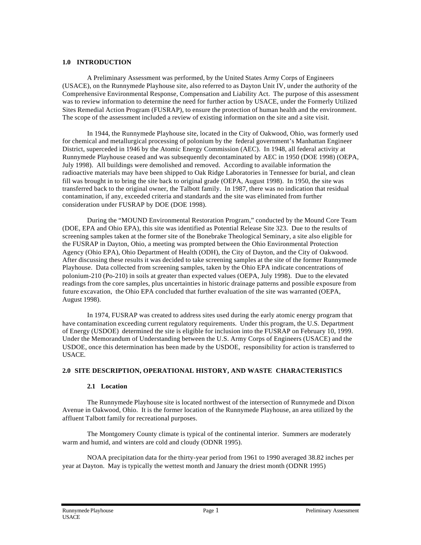#### **1.0 INTRODUCTION**

A Preliminary Assessment was performed, by the United States Army Corps of Engineers (USACE), on the Runnymede Playhouse site, also referred to as Dayton Unit IV, under the authority of the Comprehensive Environmental Response, Compensation and Liability Act. The purpose of this assessment was to review information to determine the need for further action by USACE, under the Formerly Utilized Sites Remedial Action Program (FUSRAP), to ensure the protection of human health and the environment. The scope of the assessment included a review of existing information on the site and a site visit.

In 1944, the Runnymede Playhouse site, located in the City of Oakwood, Ohio, was formerly used for chemical and metallurgical processing of polonium by the federal government's Manhattan Engineer District, superceded in 1946 by the Atomic Energy Commission (AEC). In 1948, all federal activity at Runnymede Playhouse ceased and was subsequently decontaminated by AEC in 1950 (DOE 1998) (OEPA, July 1998). All buildings were demolished and removed. According to available information the radioactive materials may have been shipped to Oak Ridge Laboratories in Tennessee for burial, and clean fill was brought in to bring the site back to original grade (OEPA, August 1998). In 1950, the site was transferred back to the original owner, the Talbott family. In 1987, there was no indication that residual contamination, if any, exceeded criteria and standards and the site was eliminated from further consideration under FUSRAP by DOE (DOE 1998).

During the "MOUND Environmental Restoration Program," conducted by the Mound Core Team (DOE, EPA and Ohio EPA), this site was identified as Potential Release Site 323. Due to the results of screening samples taken at the former site of the Bonebrake Theological Seminary, a site also eligible for the FUSRAP in Dayton, Ohio, a meeting was prompted between the Ohio Environmental Protection Agency (Ohio EPA), Ohio Department of Health (ODH), the City of Dayton, and the City of Oakwood. After discussing these results it was decided to take screening samples at the site of the former Runnymede Playhouse. Data collected from screening samples, taken by the Ohio EPA indicate concentrations of polonium-210 (Po-210) in soils at greater than expected values (OEPA, July 1998). Due to the elevated readings from the core samples, plus uncertainties in historic drainage patterns and possible exposure from future excavation, the Ohio EPA concluded that further evaluation of the site was warranted (OEPA, August 1998).

In 1974, FUSRAP was created to address sites used during the early atomic energy program that have contamination exceeding current regulatory requirements. Under this program, the U.S. Department of Energy (USDOE) determined the site is eligible for inclusion into the FUSRAP on February 10, 1999. Under the Memorandum of Understanding between the U.S. Army Corps of Engineers (USACE) and the USDOE, once this determination has been made by the USDOE, responsibility for action is transferred to USACE.

#### **2.0 SITE DESCRIPTION, OPERATIONAL HISTORY, AND WASTE CHARACTERISTICS**

#### **2.1 Location**

The Runnymede Playhouse site is located northwest of the intersection of Runnymede and Dixon Avenue in Oakwood, Ohio. It is the former location of the Runnymede Playhouse, an area utilized by the affluent Talbott family for recreational purposes.

The Montgomery County climate is typical of the continental interior. Summers are moderately warm and humid, and winters are cold and cloudy (ODNR 1995).

NOAA precipitation data for the thirty-year period from 1961 to 1990 averaged 38.82 inches per year at Dayton. May is typically the wettest month and January the driest month (ODNR 1995)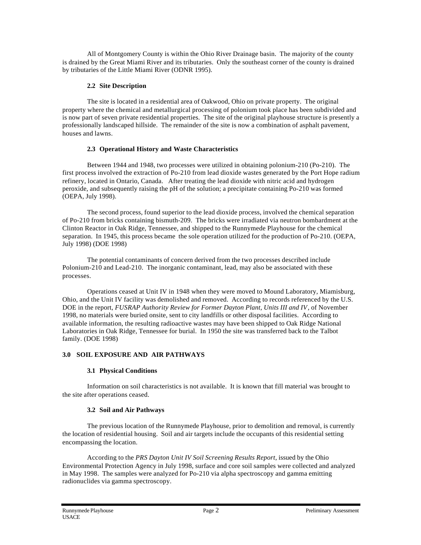All of Montgomery County is within the Ohio River Drainage basin. The majority of the county is drained by the Great Miami River and its tributaries. Only the southeast corner of the county is drained by tributaries of the Little Miami River (ODNR 1995).

#### **2.2 Site Description**

The site is located in a residential area of Oakwood, Ohio on private property. The original property where the chemical and metallurgical processing of polonium took place has been subdivided and is now part of seven private residential properties. The site of the original playhouse structure is presently a professionally landscaped hillside. The remainder of the site is now a combination of asphalt pavement, houses and lawns.

## **2.3 Operational History and Waste Characteristics**

Between 1944 and 1948, two processes were utilized in obtaining polonium-210 (Po-210). The first process involved the extraction of Po-210 from lead dioxide wastes generated by the Port Hope radium refinery, located in Ontario, Canada. After treating the lead dioxide with nitric acid and hydrogen peroxide, and subsequently raising the pH of the solution; a precipitate containing Po-210 was formed (OEPA, July 1998).

The second process, found superior to the lead dioxide process, involved the chemical separation of Po-210 from bricks containing bismuth-209. The bricks were irradiated via neutron bombardment at the Clinton Reactor in Oak Ridge, Tennessee, and shipped to the Runnymede Playhouse for the chemical separation. In 1945, this process became the sole operation utilized for the production of Po-210. (OEPA, July 1998) (DOE 1998)

The potential contaminants of concern derived from the two processes described include Polonium-210 and Lead-210. The inorganic contaminant, lead, may also be associated with these processes.

Operations ceased at Unit IV in 1948 when they were moved to Mound Laboratory, Miamisburg, Ohio, and the Unit IV facility was demolished and removed. According to records referenced by the U.S. DOE in the report, *FUSRAP Authority Review for Former Dayton Plant, Units III and IV*, of November 1998, no materials were buried onsite, sent to city landfills or other disposal facilities. According to available information, the resulting radioactive wastes may have been shipped to Oak Ridge National Laboratories in Oak Ridge, Tennessee for burial. In 1950 the site was transferred back to the Talbot family. (DOE 1998)

# **3.0 SOIL EXPOSURE AND AIR PATHWAYS**

# **3.1 Physical Conditions**

Information on soil characteristics is not available. It is known that fill material was brought to the site after operations ceased.

#### **3.2 Soil and Air Pathways**

The previous location of the Runnymede Playhouse, prior to demolition and removal, is currently the location of residential housing. Soil and air targets include the occupants of this residential setting encompassing the location.

According to the *PRS Dayton Unit IV Soil Screening Results Report*, issued by the Ohio Environmental Protection Agency in July 1998, surface and core soil samples were collected and analyzed in May 1998. The samples were analyzed for Po-210 via alpha spectroscopy and gamma emitting radionuclides via gamma spectroscopy.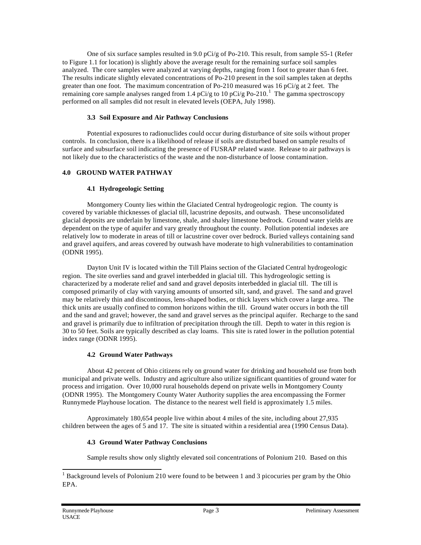One of six surface samples resulted in 9.0 pCi/g of Po-210. This result, from sample S5-1 (Refer to Figure 1.1 for location) is slightly above the average result for the remaining surface soil samples analyzed. The core samples were analyzed at varying depths, ranging from 1 foot to greater than 6 feet. The results indicate slightly elevated concentrations of Po-210 present in the soil samples taken at depths greater than one foot. The maximum concentration of Po-210 measured was 16 pCi/g at 2 feet. The remaining core sample analyses ranged from 1.4 pCi/g to 10 pCi/g Po-210.<sup>1</sup> The gamma spectroscopy performed on all samples did not result in elevated levels (OEPA, July 1998).

#### **3.3 Soil Exposure and Air Pathway Conclusions**

Potential exposures to radionuclides could occur during disturbance of site soils without proper controls. In conclusion, there is a likelihood of release if soils are disturbed based on sample results of surface and subsurface soil indicating the presence of FUSRAP related waste. Release to air pathways is not likely due to the characteristics of the waste and the non-disturbance of loose contamination.

#### **4.0 GROUND WATER PATHWAY**

#### **4.1 Hydrogeologic Setting**

Montgomery County lies within the Glaciated Central hydrogeologic region. The county is covered by variable thicknesses of glacial till, lacustrine deposits, and outwash. These unconsolidated glacial deposits are underlain by limestone, shale, and shaley limestone bedrock. Ground water yields are dependent on the type of aquifer and vary greatly throughout the county. Pollution potential indexes are relatively low to moderate in areas of till or lacustrine cover over bedrock. Buried valleys containing sand and gravel aquifers, and areas covered by outwash have moderate to high vulnerabilities to contamination (ODNR 1995).

Dayton Unit IV is located within the Till Plains section of the Glaciated Central hydrogeologic region. The site overlies sand and gravel interbedded in glacial till. This hydrogeologic setting is characterized by a moderate relief and sand and gravel deposits interbedded in glacial till. The till is composed primarily of clay with varying amounts of unsorted silt, sand, and gravel. The sand and gravel may be relatively thin and discontinous, lens-shaped bodies, or thick layers which cover a large area. The thick units are usually confined to common horizons within the till. Ground water occurs in both the till and the sand and gravel; however, the sand and gravel serves as the principal aquifer. Recharge to the sand and gravel is primarily due to infiltration of precipitation through the till. Depth to water in this region is 30 to 50 feet. Soils are typically described as clay loams. This site is rated lower in the pollution potential index range (ODNR 1995).

#### **4.2 Ground Water Pathways**

About 42 percent of Ohio citizens rely on ground water for drinking and household use from both municipal and private wells. Industry and agriculture also utilize significant quantities of ground water for process and irrigation. Over 10,000 rural households depend on private wells in Montgomery County (ODNR 1995). The Montgomery County Water Authority supplies the area encompassing the Former Runnymede Playhouse location. The distance to the nearest well field is approximately 1.5 miles.

Approximately 180,654 people live within about 4 miles of the site, including about 27,935 children between the ages of 5 and 17. The site is situated within a residential area (1990 Census Data).

#### **4.3 Ground Water Pathway Conclusions**

Sample results show only slightly elevated soil concentrations of Polonium 210. Based on this

l

 $1$  Background levels of Polonium 210 were found to be between 1 and 3 picocuries per gram by the Ohio EPA.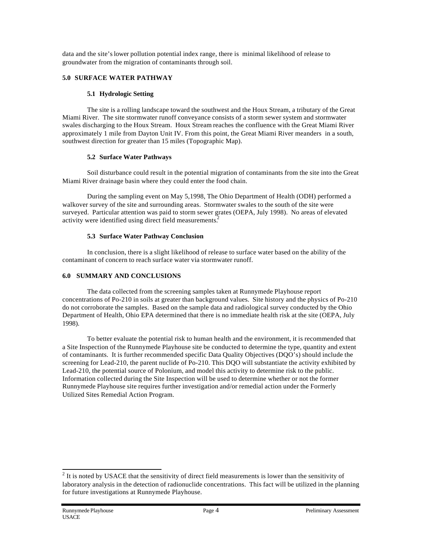data and the site's lower pollution potential index range, there is minimal likelihood of release to groundwater from the migration of contaminants through soil.

#### **5.0 SURFACE WATER PATHWAY**

#### **5.1 Hydrologic Setting**

The site is a rolling landscape toward the southwest and the Houx Stream, a tributary of the Great Miami River. The site stormwater runoff conveyance consists of a storm sewer system and stormwater swales discharging to the Houx Stream. Houx Stream reaches the confluence with the Great Miami River approximately 1 mile from Dayton Unit IV. From this point, the Great Miami River meanders in a south, southwest direction for greater than 15 miles (Topographic Map).

## **5.2 Surface Water Pathways**

Soil disturbance could result in the potential migration of contaminants from the site into the Great Miami River drainage basin where they could enter the food chain.

During the sampling event on May 5,1998, The Ohio Department of Health (ODH) performed a walkover survey of the site and surrounding areas. Stormwater swales to the south of the site were surveyed. Particular attention was paid to storm sewer grates (OEPA, July 1998). No areas of elevated activity were identified using direct field measurements.<sup>2</sup>

## **5.3 Surface Water Pathway Conclusion**

In conclusion, there is a slight likelihood of release to surface water based on the ability of the contaminant of concern to reach surface water via stormwater runoff.

## **6.0 SUMMARY AND CONCLUSIONS**

The data collected from the screening samples taken at Runnymede Playhouse report concentrations of Po-210 in soils at greater than background values. Site history and the physics of Po-210 do not corroborate the samples. Based on the sample data and radiological survey conducted by the Ohio Department of Health, Ohio EPA determined that there is no immediate health risk at the site (OEPA, July 1998).

To better evaluate the potential risk to human health and the environment, it is recommended that a Site Inspection of the Runnymede Playhouse site be conducted to determine the type, quantity and extent of contaminants. It is further recommended specific Data Quality Objectives (DQO's) should include the screening for Lead-210, the parent nuclide of Po-210. This DQO will substantiate the activity exhibited by Lead-210, the potential source of Polonium, and model this activity to determine risk to the public. Information collected during the Site Inspection will be used to determine whether or not the former Runnymede Playhouse site requires further investigation and/or remedial action under the Formerly Utilized Sites Remedial Action Program.

<sup>&</sup>lt;sup>2</sup> It is noted by USACE that the sensitivity of direct field measurements is lower than the sensitivity of laboratory analysis in the detection of radionuclide concentrations. This fact will be utilized in the planning for future investigations at Runnymede Playhouse.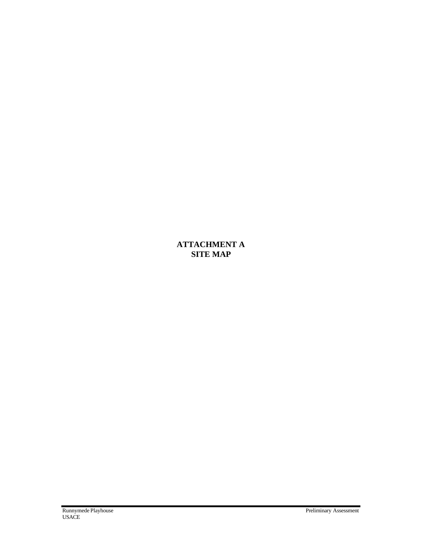# **ATTACHMENT A SITE MAP**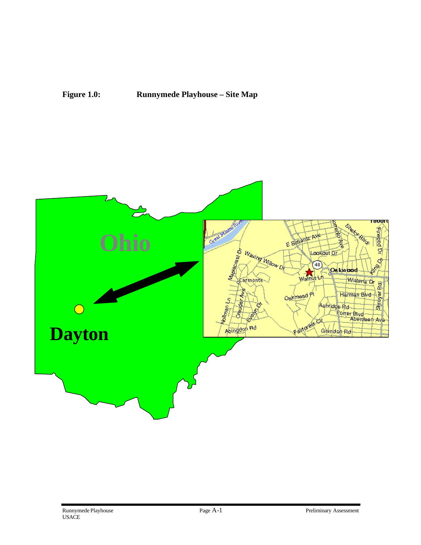

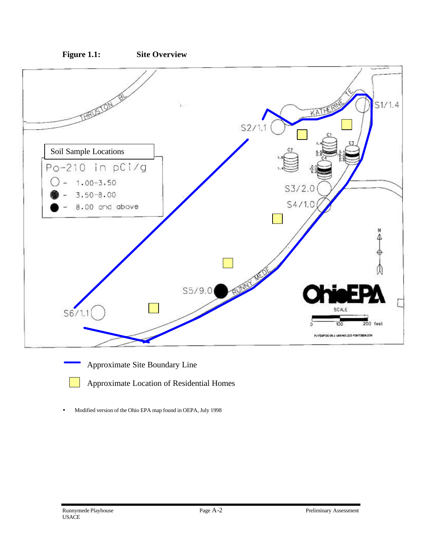



Approximate Site Boundary Line

Approximate Location of Residential Homes

• Modified version of the Ohio EPA map found in OEPA, July 1998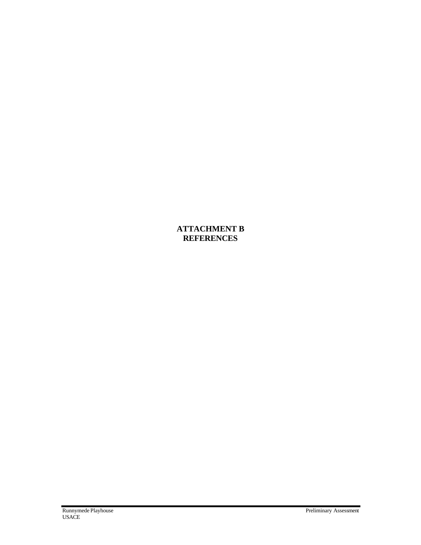**ATTACHMENT B REFERENCES**